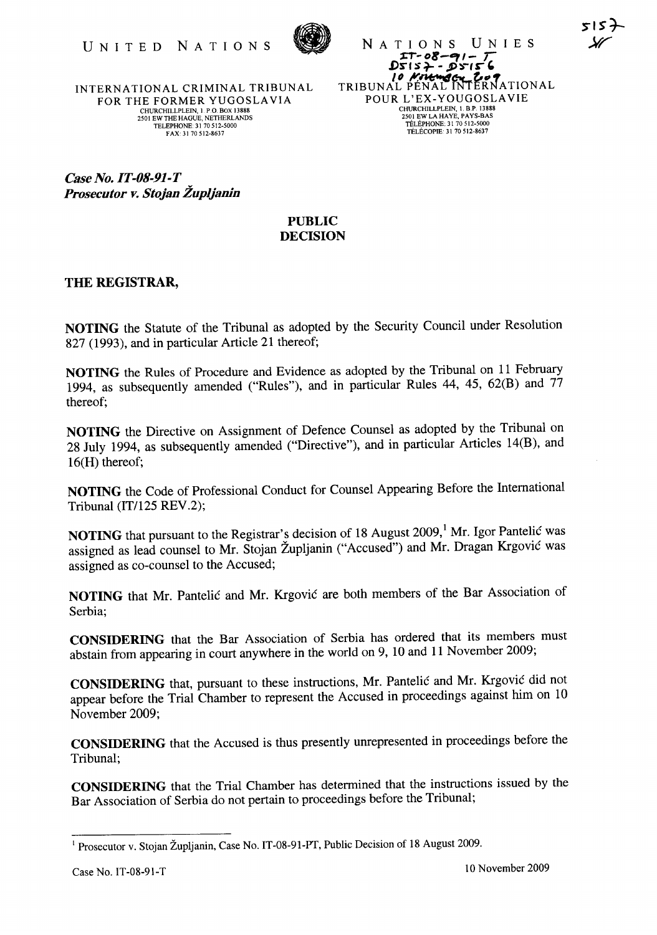

NATIONS UNIES  $\frac{27}{27-08-91-7}$ <br>DSIS7 - DSIS6 TRIBUNAL PENAL INTERNATIONAL POUR L'EX-YOUGOSLAVIE CHURCHILLPLEIN, 1. B.P. 13888 2501 EWLA HAYE, PAYS-BAS TELEPHONE: 31 70 512-5000 TÉLÉCOPIE: 31 70 512-8637

INTERNATIONAL CRIMINAL TRIBUNAL FOR THE FORMER YUGOSLAVIA CHURCHILLPLEIN, 1. P.O. BOX 13888 2501 EW THE HAGUE, NETHERLANDS TELEPHONE: 31 70512-5000 FAX: 31 70512-8637

*Case No. IT-OS-91-T Prosecutor v. Stojan Zup/janin* 

## PUBLIC DECISION

## THE REGISTRAR,

NOTING the Statute of the Tribunal as adopted by the Security Council under Resolution 827 (1993), and in particular Article 21 thereof;

NOTING the Rules of Procedure and Evidence as adopted by the Tribunal on 11 February 1994, as subsequently amended ("Rules"), and in particular Rules 44, 45, 62(B) and 77 thereof;

NOTING the Directive on Assignment of Defence Counsel as adopted by the Tribunal on 28 July 1994, as subsequently amended ("Directive"), and in particular Articles l4(B), and l6(H) thereof;

NOTING the Code of Professional Conduct for Counsel Appearing Before the International Tribunal (IT/125 REV.2);

NOTING that pursuant to the Registrar's decision of 18 August 2009,<sup>1</sup> Mr. Igor Pantelic was assigned as lead counsel to Mr. Stojan Zupljanin ("Accused") and Mr. Dragan Krgovic was assigned as co-counsel to the Accused;

NOTING that Mr. Pantelic and Mr. Krgovic are both members of the Bar Association of Serbia;

CONSIDERING that the Bar Association of Serbia has ordered that its members must abstain from appearing in court anywhere in the world on 9, 10 and 11 November 2009;

CONSIDERING that, pursuant to these instructions, Mr. Pantelic and Mr. Krgovic did not appear before the Trial Chamber to represent the Accused in proceedings against him on 10 November 2009;

CONSIDERING that the Accused is thus presently unrepresented in proceedings before the Tribunal;

CONSIDERING that the Trial Chamber has determined that the instructions issued by the Bar Association of Serbia do not pertain to proceedings before the Tribunal;

<sup>&</sup>lt;sup>1</sup> Prosecutor v. Stojan Župljanin, Case No. IT-08-91-PT, Public Decision of 18 August 2009.